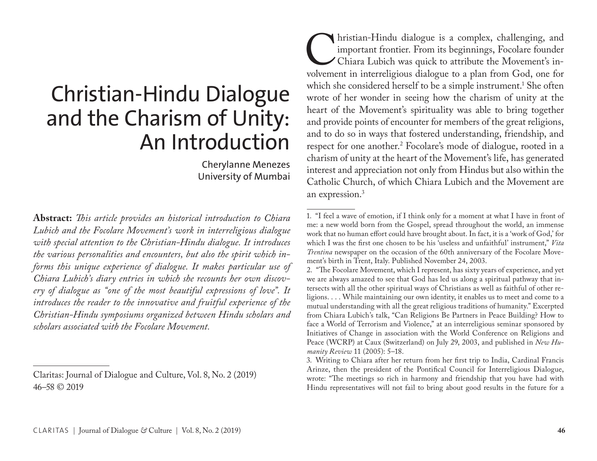# Christian-Hindu Dialogue and the Charism of Unity: An Introduction

Cherylanne Menezes University of Mumbai

**Abstract:** *This article provides an historical introduction to Chiara Lubich and the Focolare Movement's work in interreligious dialogue with special attention to the Christian-Hindu dialogue. It introduces the various personalities and encounters, but also the spirit which informs this unique experience of dialogue. It makes particular use of Chiara Lubich's diary entries in which she recounts her own discovery of dialogue as "one of the most beautiful expressions of love". It introduces the reader to the innovative and fruitful experience of the Christian-Hindu symposiums organized between Hindu scholars and scholars associated with the Focolare Movement.*

Claritas: Journal of Dialogue and Culture, Vol. 8, No. 2 (2019) 46–58 © 2019

Initian-Hindu dialogue is a complex, challenging, and important frontier. From its beginnings, Focolare founder Chiara Lubich was quick to attribute the Movement's involvement in interreligious dialogue to a plan from God, important frontier. From its beginnings, Focolare founder Chiara Lubich was quick to attribute the Movement's inwhich she considered herself to be a simple instrument.<sup>1</sup> She often wrote of her wonder in seeing how the charism of unity at the heart of the Movement's spirituality was able to bring together and provide points of encounter for members of the great religions, and to do so in ways that fostered understanding, friendship, and respect for one another.2 Focolare's mode of dialogue, rooted in a charism of unity at the heart of the Movement's life, has generated interest and appreciation not only from Hindus but also within the Catholic Church, of which Chiara Lubich and the Movement are an expression.3

<sup>1.</sup> "I feel a wave of emotion, if I think only for a moment at what I have in front of me: a new world born from the Gospel, spread throughout the world, an immense work that no human effort could have brought about. In fact, it is a 'work of God,' for which I was the first one chosen to be his 'useless and unfaithful' instrument," *Vita Trentina* newspaper on the occasion of the 60th anniversary of the Focolare Movement's birth in Trent, Italy. Published November 24, 2003.

<sup>2.</sup> "The Focolare Movement, which I represent, has sixty years of experience, and yet we are always amazed to see that God has led us along a spiritual pathway that intersects with all the other spiritual ways of Christians as well as faithful of other religions. . . . While maintaining our own identity, it enables us to meet and come to a mutual understanding with all the great religious traditions of humanity." Excerpted from Chiara Lubich's talk, "Can Religions Be Partners in Peace Building? How to face a World of Terrorism and Violence," at an interreligious seminar sponsored by Initiatives of Change in association with the World Conference on Religions and Peace (WCRP) at Caux (Switzerland) on July 29, 2003, and published in *New Humanity Review* 11 (2005): 5–18.

<sup>3.</sup> Writing to Chiara after her return from her first trip to India, Cardinal Francis Arinze, then the president of the Pontifical Council for Interreligious Dialogue, wrote: "The meetings so rich in harmony and friendship that you have had with Hindu representatives will not fail to bring about good results in the future for a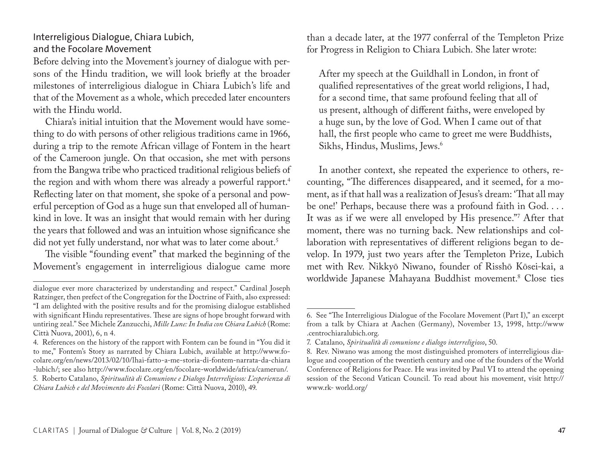## Interreligious Dialogue, Chiara Lubich, and the Focolare Movement

Before delving into the Movement's journey of dialogue with persons of the Hindu tradition, we will look briefly at the broader milestones of interreligious dialogue in Chiara Lubich's life and that of the Movement as a whole, which preceded later encounters with the Hindu world.

Chiara's initial intuition that the Movement would have something to do with persons of other religious traditions came in 1966, during a trip to the remote African village of Fontem in the heart of the Cameroon jungle. On that occasion, she met with persons from the Bangwa tribe who practiced traditional religious beliefs of the region and with whom there was already a powerful rapport.<sup>4</sup> Reflecting later on that moment, she spoke of a personal and powerful perception of God as a huge sun that enveloped all of humankind in love. It was an insight that would remain with her during the years that followed and was an intuition whose significance she did not yet fully understand, nor what was to later come about.<sup>5</sup>

The visible "founding event" that marked the beginning of the Movement's engagement in interreligious dialogue came more

than a decade later, at the 1977 conferral of the Templeton Prize for Progress in Religion to Chiara Lubich. She later wrote:

After my speech at the Guildhall in London, in front of qualified representatives of the great world religions, I had, for a second time, that same profound feeling that all of us present, although of different faiths, were enveloped by a huge sun, by the love of God. When I came out of that hall, the first people who came to greet me were Buddhists, Sikhs, Hindus, Muslims, Jews.<sup>6</sup>

In another context, she repeated the experience to others, recounting, "The differences disappeared, and it seemed, for a moment, as if that hall was a realization of Jesus's dream: 'That all may be one!' Perhaps, because there was a profound faith in God. . . . It was as if we were all enveloped by His presence."7 After that moment, there was no turning back. New relationships and collaboration with representatives of different religions began to develop. In 1979, just two years after the Templeton Prize, Lubich met with Rev. Nikkyō Niwano, founder of Risshō Kōsei-kai, a worldwide Japanese Mahayana Buddhist movement.8 Close ties

dialogue ever more characterized by understanding and respect." Cardinal Joseph Ratzinger, then prefect of the Congregation for the Doctrine of Faith, also expressed: "I am delighted with the positive results and for the promising dialogue established with significant Hindu representatives. These are signs of hope brought forward with untiring zeal." See Michele Zanzucchi, *Mille Lune: In India con Chiara Lubich* (Rome: Città Nuova, 2001), 6, n 4.

<sup>4.</sup> References on the history of the rapport with Fontem can be found in "You did it to me," Fontem's Story as narrated by Chiara Lubich, available at http://www.focolare.org/en/news/2013/02/10/lhai-fatto-a-me-storia-di-fontem-narrata-da-chiara -lubich/; see also http://www.focolare.org/en/focolare-worldwide/africa/camerun/. 5. Roberto Catalano, *Spiritualità di Comunione e Dialogo Interreligioso: L'esperienza di* 

*Chiara Lubich e del Movimento dei Focolari* (Rome: Città Nuova, 2010), 49.

<sup>6.</sup> See "The Interreligious Dialogue of the Focolare Movement (Part I)," an excerpt from a talk by Chiara at Aachen (Germany), November 13, 1998, http://www .centrochiaralubich.org.

<sup>7.</sup> Catalano, *Spiritualità di comunione e dialogo interreligioso*, 50.

<sup>8.</sup> Rev. Niwano was among the most distinguished promoters of interreligious dialogue and cooperation of the twentieth century and one of the founders of the World Conference of Religions for Peace. He was invited by Paul VI to attend the opening session of the Second Vatican Council. To read about his movement, visit http:// www.rk- world.org/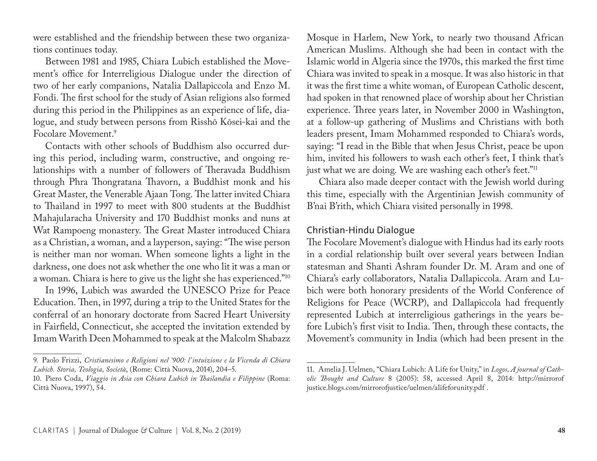were established and the friendship between these two organizations continues today.

Between 1981 and 1985, Chiara Lubich established the Movement's office for Interreligious Dialogue under the direction of two of her early companions, Natalia Dallapiccola and Enzo M. Fondi. The first school for the study of Asian religions also formed during this period in the Philippines as an experience of life, dialogue, and study between persons from Risshō Kōsei-kai and the Focolare Movement.<sup>9</sup>

Contacts with other schools of Buddhism also occurred during this period, including warm, constructive, and ongoing relationships with a number of followers of Theravada Buddhism through Phra Thongratana Thavorn, a Buddhist monk and his Great Master, the Venerable Ajaan Tong. The latter invited Chiara to Thailand in 1997 to meet with 800 students at the Buddhist Mahajularacha University and 170 Buddhist monks and nuns at Wat Rampoeng monastery. The Great Master introduced Chiara as a Christian, a woman, and a layperson, saying: "The wise person is neither man nor woman. When someone lights a light in the darkness, one does not ask whether the one who lit it was a man or a woman. Chiara is here to give us the light she has experienced."10

In 1996, Lubich was awarded the UNESCO Prize for Peace Education. Then, in 1997, during a trip to the United States for the conferral of an honorary doctorate from Sacred Heart University in Fairfield, Connecticut, she accepted the invitation extended by Imam Warith Deen Mohammed to speak at the Malcolm Shabazz Mosque in Harlem, New York, to nearly two thousand African American Muslims. Although she had been in contact with the Islamic world in Algeria since the 1970s, this marked the first time Chiara was invited to speak in a mosque. It was also historic in that it was the first time a white woman, of European Catholic descent, had spoken in that renowned place of worship about her Christian experience. Three years later, in November 2000 in Washington, at a follow-up gathering of Muslims and Christians with both leaders present, Imam Mohammed responded to Chiara's words, saying: "I read in the Bible that when Jesus Christ, peace be upon him, invited his followers to wash each other's feet, I think that's just what we are doing. We are washing each other's feet."<sup>11</sup>

Chiara also made deeper contact with the Jewish world during this time, especially with the Argentinian Jewish community of B'nai B'rith, which Chiara visited personally in 1998.

#### Christian-Hindu Dialogue

The Focolare Movement's dialogue with Hindus had its early roots in a cordial relationship built over several years between Indian statesman and Shanti Ashram founder Dr. M. Aram and one of Chiara's early collaborators, Natalia Dallapiccola. Aram and Lubich were both honorary presidents of the World Conference of Religions for Peace (WCRP), and Dallapiccola had frequently represented Lubich at interreligious gatherings in the years before Lubich's first visit to India. Then, through these contacts, the Movement's community in India (which had been present in the

<sup>9.</sup> Paolo Frizzi, *Cristianesimo e Religioni nel '900: l'intuizione e la Vicenda di Chiara Lubich. Storia, Teologia, Società*, (Rome: Città Nuova, 2014), 204–5.

<sup>10.</sup> Piero Coda, *Viaggio in Asia con Chiara Lubich in Thailandia e Filippine* (Roma: Città Nuova, 1997), 54.

<sup>11.</sup> Amelia J. Uelmen, "Chiara Lubich: A Life for Unity," in *Logos, A journal of Catholic Thought and Culture* 8 (2005): 58, accessed April 8, 2014: http://mirrorof justice.blogs.com/mirrorofjustice/uelmen/alifeforunity.pdf .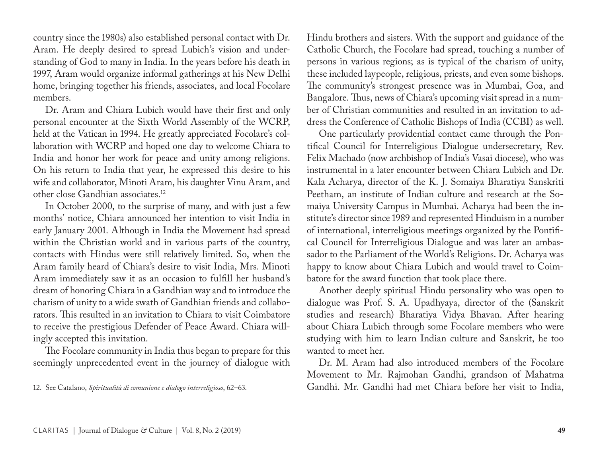country since the 1980s) also established personal contact with Dr. Aram. He deeply desired to spread Lubich's vision and understanding of God to many in India. In the years before his death in 1997, Aram would organize informal gatherings at his New Delhi home, bringing together his friends, associates, and local Focolare members.

Dr. Aram and Chiara Lubich would have their first and only personal encounter at the Sixth World Assembly of the WCRP, held at the Vatican in 1994. He greatly appreciated Focolare's collaboration with WCRP and hoped one day to welcome Chiara to India and honor her work for peace and unity among religions. On his return to India that year, he expressed this desire to his wife and collaborator, Minoti Aram, his daughter Vinu Aram, and other close Gandhian associates.12

In October 2000, to the surprise of many, and with just a few months' notice, Chiara announced her intention to visit India in early January 2001. Although in India the Movement had spread within the Christian world and in various parts of the country, contacts with Hindus were still relatively limited. So, when the Aram family heard of Chiara's desire to visit India, Mrs. Minoti Aram immediately saw it as an occasion to fulfill her husband's dream of honoring Chiara in a Gandhian way and to introduce the charism of unity to a wide swath of Gandhian friends and collaborators. This resulted in an invitation to Chiara to visit Coimbatore to receive the prestigious Defender of Peace Award. Chiara willingly accepted this invitation.

The Focolare community in India thus began to prepare for this seemingly unprecedented event in the journey of dialogue with Hindu brothers and sisters. With the support and guidance of the Catholic Church, the Focolare had spread, touching a number of persons in various regions; as is typical of the charism of unity, these included laypeople, religious, priests, and even some bishops. The community's strongest presence was in Mumbai, Goa, and Bangalore. Thus, news of Chiara's upcoming visit spread in a number of Christian communities and resulted in an invitation to address the Conference of Catholic Bishops of India (CCBI) as well.

One particularly providential contact came through the Pontifical Council for Interreligious Dialogue undersecretary, Rev. Felix Machado (now archbishop of India's Vasai diocese), who was instrumental in a later encounter between Chiara Lubich and Dr. Kala Acharya, director of the K. J. Somaiya Bharatiya Sanskriti Peetham, an institute of Indian culture and research at the Somaiya University Campus in Mumbai. Acharya had been the institute's director since 1989 and represented Hinduism in a number of international, interreligious meetings organized by the Pontifical Council for Interreligious Dialogue and was later an ambassador to the Parliament of the World's Religions. Dr. Acharya was happy to know about Chiara Lubich and would travel to Coimbatore for the award function that took place there.

Another deeply spiritual Hindu personality who was open to dialogue was Prof. S. A. Upadhyaya, director of the (Sanskrit studies and research) Bharatiya Vidya Bhavan. After hearing about Chiara Lubich through some Focolare members who were studying with him to learn Indian culture and Sanskrit, he too wanted to meet her.

Dr. M. Aram had also introduced members of the Focolare Movement to Mr. Rajmohan Gandhi, grandson of Mahatma Gandhi. Mr. Gandhi had met Chiara before her visit to India,

<sup>12.</sup> See Catalano, *Spiritualità di comunione e dialogo interreligioso*, 62–63.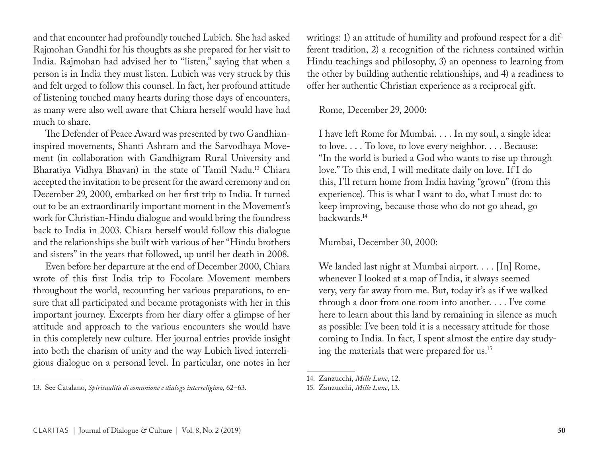and that encounter had profoundly touched Lubich. She had asked Rajmohan Gandhi for his thoughts as she prepared for her visit to India. Rajmohan had advised her to "listen," saying that when a person is in India they must listen. Lubich was very struck by this and felt urged to follow this counsel. In fact, her profound attitude of listening touched many hearts during those days of encounters, as many were also well aware that Chiara herself would have had much to share.

The Defender of Peace Award was presented by two Gandhianinspired movements, Shanti Ashram and the Sarvodhaya Movement (in collaboration with Gandhigram Rural University and Bharatiya Vidhya Bhavan) in the state of Tamil Nadu.13 Chiara accepted the invitation to be present for the award ceremony and on December 29, 2000, embarked on her first trip to India. It turned out to be an extraordinarily important moment in the Movement's work for Christian-Hindu dialogue and would bring the foundress back to India in 2003. Chiara herself would follow this dialogue and the relationships she built with various of her "Hindu brothers and sisters" in the years that followed, up until her death in 2008.

Even before her departure at the end of December 2000, Chiara wrote of this first India trip to Focolare Movement members throughout the world, recounting her various preparations, to ensure that all participated and became protagonists with her in this important journey. Excerpts from her diary offer a glimpse of her attitude and approach to the various encounters she would have in this completely new culture. Her journal entries provide insight into both the charism of unity and the way Lubich lived interreligious dialogue on a personal level. In particular, one notes in her

writings: 1) an attitude of humility and profound respect for a different tradition, 2) a recognition of the richness contained within Hindu teachings and philosophy, 3) an openness to learning from the other by building authentic relationships, and 4) a readiness to offer her authentic Christian experience as a reciprocal gift.

#### Rome, December 29, 2000:

I have left Rome for Mumbai. . . . In my soul, a single idea: to love. . . . To love, to love every neighbor. . . . Because: "In the world is buried a God who wants to rise up through love." To this end, I will meditate daily on love. If I do this, I'll return home from India having "grown" (from this experience). This is what I want to do, what I must do: to keep improving, because those who do not go ahead, go backwards.14

#### Mumbai, December 30, 2000:

We landed last night at Mumbai airport. . . . [In] Rome, whenever I looked at a map of India, it always seemed very, very far away from me. But, today it's as if we walked through a door from one room into another. . . . I've come here to learn about this land by remaining in silence as much as possible: I've been told it is a necessary attitude for those coming to India. In fact, I spent almost the entire day studying the materials that were prepared for us.15

<sup>13.</sup> See Catalano, *Spiritualità di comunione e dialogo interreligioso*, 62–63.

<sup>14.</sup> Zanzucchi, *Mille Lune*, 12.

<sup>15.</sup> Zanzucchi, *Mille Lune*, 13.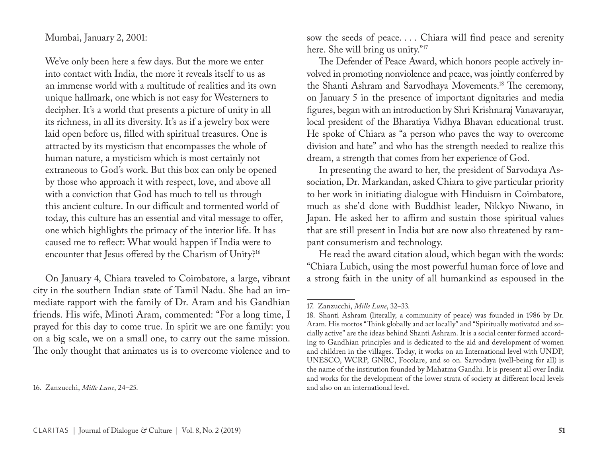Mumbai, January 2, 2001:

We've only been here a few days. But the more we enter into contact with India, the more it reveals itself to us as an immense world with a multitude of realities and its own unique hallmark, one which is not easy for Westerners to decipher. It's a world that presents a picture of unity in all its richness, in all its diversity. It's as if a jewelry box were laid open before us, filled with spiritual treasures. One is attracted by its mysticism that encompasses the whole of human nature, a mysticism which is most certainly not extraneous to God's work. But this box can only be opened by those who approach it with respect, love, and above all with a conviction that God has much to tell us through this ancient culture. In our difficult and tormented world of today, this culture has an essential and vital message to offer, one which highlights the primacy of the interior life. It has caused me to reflect: What would happen if India were to encounter that Jesus offered by the Charism of Unity?16

On January 4, Chiara traveled to Coimbatore, a large, vibrant city in the southern Indian state of Tamil Nadu. She had an immediate rapport with the family of Dr. Aram and his Gandhian friends. His wife, Minoti Aram, commented: "For a long time, I prayed for this day to come true. In spirit we are one family: you on a big scale, we on a small one, to carry out the same mission. The only thought that animates us is to overcome violence and to

sow the seeds of peace.... Chiara will find peace and serenity here. She will bring us unity."17

The Defender of Peace Award, which honors people actively involved in promoting nonviolence and peace, was jointly conferred by the Shanti Ashram and Sarvodhaya Movements.18 The ceremony, on January 5 in the presence of important dignitaries and media figures, began with an introduction by Shri Krishnaraj Vanavarayar, local president of the Bharatiya Vidhya Bhavan educational trust. He spoke of Chiara as "a person who paves the way to overcome division and hate" and who has the strength needed to realize this dream, a strength that comes from her experience of God.

In presenting the award to her, the president of Sarvodaya Association, Dr. Markandan, asked Chiara to give particular priority to her work in initiating dialogue with Hinduism in Coimbatore, much as she'd done with Buddhist leader, Nikkyo Niwano, in Japan. He asked her to affirm and sustain those spiritual values that are still present in India but are now also threatened by rampant consumerism and technology.

He read the award citation aloud, which began with the words: "Chiara Lubich, using the most powerful human force of love and a strong faith in the unity of all humankind as espoused in the

<sup>16.</sup> Zanzucchi, *Mille Lune*, 24–25.

<sup>17.</sup> Zanzucchi, *Mille Lune*, 32–33.

<sup>18.</sup> Shanti Ashram (literally, a community of peace) was founded in 1986 by Dr. Aram. His mottos "Think globally and act locally" and "Spiritually motivated and socially active" are the ideas behind Shanti Ashram. It is a social center formed according to Gandhian principles and is dedicated to the aid and development of women and children in the villages. Today, it works on an International level with UNDP, UNESCO, WCRP, GNRC, Focolare, and so on. Sarvodaya (well-being for all) is the name of the institution founded by Mahatma Gandhi. It is present all over India and works for the development of the lower strata of society at different local levels and also on an international level.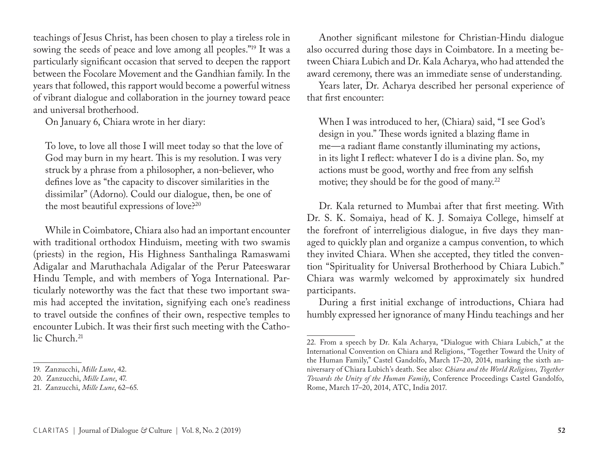teachings of Jesus Christ, has been chosen to play a tireless role in sowing the seeds of peace and love among all peoples."<sup>19</sup> It was a particularly significant occasion that served to deepen the rapport between the Focolare Movement and the Gandhian family. In the years that followed, this rapport would become a powerful witness of vibrant dialogue and collaboration in the journey toward peace and universal brotherhood.

On January 6, Chiara wrote in her diary:

To love, to love all those I will meet today so that the love of God may burn in my heart. This is my resolution. I was very struck by a phrase from a philosopher, a non-believer, who defines love as "the capacity to discover similarities in the dissimilar" (Adorno). Could our dialogue, then, be one of the most beautiful expressions of love?20

While in Coimbatore, Chiara also had an important encounter with traditional orthodox Hinduism, meeting with two swamis (priests) in the region, His Highness Santhalinga Ramaswami Adigalar and Maruthachala Adigalar of the Perur Pateeswarar Hindu Temple, and with members of Yoga International. Particularly noteworthy was the fact that these two important swamis had accepted the invitation, signifying each one's readiness to travel outside the confines of their own, respective temples to encounter Lubich. It was their first such meeting with the Catholic Church.<sup>21</sup>

Another significant milestone for Christian-Hindu dialogue also occurred during those days in Coimbatore. In a meeting between Chiara Lubich and Dr. Kala Acharya, who had attended the award ceremony, there was an immediate sense of understanding.

Years later, Dr. Acharya described her personal experience of that first encounter:

When I was introduced to her, (Chiara) said, "I see God's design in you." These words ignited a blazing flame in me—a radiant flame constantly illuminating my actions, in its light I reflect: whatever I do is a divine plan. So, my actions must be good, worthy and free from any selfish motive; they should be for the good of many.<sup>22</sup>

Dr. Kala returned to Mumbai after that first meeting. With Dr. S. K. Somaiya, head of K. J. Somaiya College, himself at the forefront of interreligious dialogue, in five days they managed to quickly plan and organize a campus convention, to which they invited Chiara. When she accepted, they titled the convention "Spirituality for Universal Brotherhood by Chiara Lubich." Chiara was warmly welcomed by approximately six hundred participants.

During a first initial exchange of introductions, Chiara had humbly expressed her ignorance of many Hindu teachings and her

<sup>19.</sup> Zanzucchi, *Mille Lune*, 42.

<sup>20.</sup> Zanzucchi, *Mille Lune*, 47.

<sup>21.</sup> Zanzucchi, *Mille Lune*, 62–65.

<sup>22.</sup> From a speech by Dr. Kala Acharya, "Dialogue with Chiara Lubich," at the International Convention on Chiara and Religions, "Together Toward the Unity of the Human Family," Castel Gandolfo, March 17–20, 2014, marking the sixth anniversary of Chiara Lubich's death. See also: *Chiara and the World Religions, Together Towards the Unity of the Human Family*, Conference Proceedings Castel Gandolfo, Rome, March 17–20, 2014, ATC, India 2017.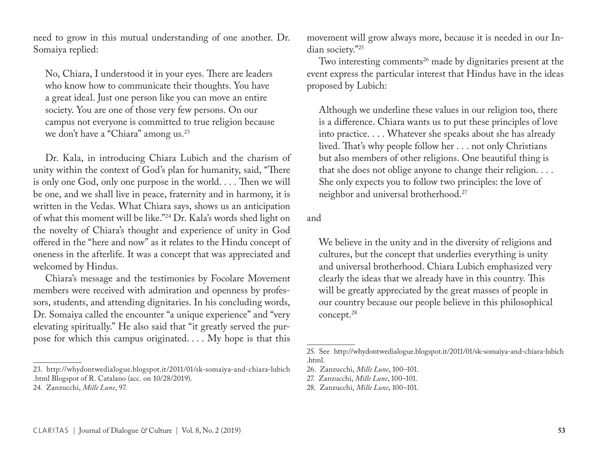need to grow in this mutual understanding of one another. Dr. Somaiya replied:

No, Chiara, I understood it in your eyes. There are leaders who know how to communicate their thoughts. You have a great ideal. Just one person like you can move an entire society. You are one of those very few persons. On our campus not everyone is committed to true religion because we don't have a "Chiara" among us.<sup>23</sup>

Dr. Kala, in introducing Chiara Lubich and the charism of unity within the context of God's plan for humanity, said, "There is only one God, only one purpose in the world. . . . Then we will be one, and we shall live in peace, fraternity and in harmony, it is written in the Vedas. What Chiara says, shows us an anticipation of what this moment will be like."24 Dr. Kala's words shed light on the novelty of Chiara's thought and experience of unity in God offered in the "here and now" as it relates to the Hindu concept of oneness in the afterlife. It was a concept that was appreciated and welcomed by Hindus.

Chiara's message and the testimonies by Focolare Movement members were received with admiration and openness by professors, students, and attending dignitaries. In his concluding words, Dr. Somaiya called the encounter "a unique experience" and "very elevating spiritually." He also said that "it greatly served the purpose for which this campus originated. . . . My hope is that this

23. http://whydontwedialogue.blogspot.it/2011/01/sk-somaiya-and-chiara-lubich .html Blogspot of R. Catalano (acc. on 10/28/2019).

movement will grow always more, because it is needed in our Indian society."25

Two interesting comments<sup>26</sup> made by dignitaries present at the event express the particular interest that Hindus have in the ideas proposed by Lubich:

Although we underline these values in our religion too, there is a difference. Chiara wants us to put these principles of love into practice. . . . Whatever she speaks about she has already lived. That's why people follow her . . . not only Christians but also members of other religions. One beautiful thing is that she does not oblige anyone to change their religion. . . . She only expects you to follow two principles: the love of neighbor and universal brotherhood.27

and

We believe in the unity and in the diversity of religions and cultures, but the concept that underlies everything is unity and universal brotherhood. Chiara Lubich emphasized very clearly the ideas that we already have in this country. This will be greatly appreciated by the great masses of people in our country because our people believe in this philosophical concept.28

<sup>24.</sup> Zanzucchi, *Mille Lune*, 97.

<sup>25.</sup> See http://whydontwedialogue.blogspot.it/2011/01/sk-somaiya-and-chiara-lubich .html.

<sup>26.</sup> Zanzucchi, *Mille Lune*, 100–101.

<sup>27.</sup> Zanzucchi, *Mille Lune*, 100–101.

<sup>28.</sup> Zanzucchi, *Mille Lune*, 100–101.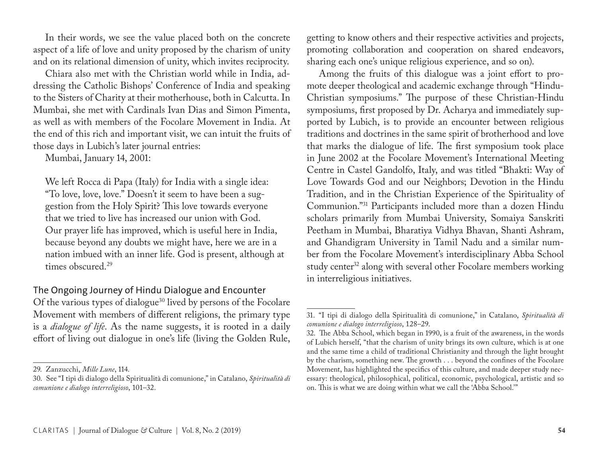In their words, we see the value placed both on the concrete aspect of a life of love and unity proposed by the charism of unity and on its relational dimension of unity, which invites reciprocity.

Chiara also met with the Christian world while in India, addressing the Catholic Bishops' Conference of India and speaking to the Sisters of Charity at their motherhouse, both in Calcutta. In Mumbai, she met with Cardinals Ivan Dias and Simon Pimenta, as well as with members of the Focolare Movement in India. At the end of this rich and important visit, we can intuit the fruits of those days in Lubich's later journal entries:

Mumbai, January 14, 2001:

We left Rocca di Papa (Italy) for India with a single idea: "To love, love, love." Doesn't it seem to have been a suggestion from the Holy Spirit? This love towards everyone that we tried to live has increased our union with God. Our prayer life has improved, which is useful here in India, because beyond any doubts we might have, here we are in a nation imbued with an inner life. God is present, although at times obscured.<sup>29</sup>

### The Ongoing Journey of Hindu Dialogue and Encounter

Of the various types of dialogue<sup>30</sup> lived by persons of the Focolare Movement with members of different religions, the primary type is a *dialogue of life*. As the name suggests, it is rooted in a daily effort of living out dialogue in one's life (living the Golden Rule,

getting to know others and their respective activities and projects, promoting collaboration and cooperation on shared endeavors, sharing each one's unique religious experience, and so on).

Among the fruits of this dialogue was a joint effort to promote deeper theological and academic exchange through "Hindu-Christian symposiums." The purpose of these Christian-Hindu symposiums, first proposed by Dr. Acharya and immediately supported by Lubich, is to provide an encounter between religious traditions and doctrines in the same spirit of brotherhood and love that marks the dialogue of life. The first symposium took place in June 2002 at the Focolare Movement's International Meeting Centre in Castel Gandolfo, Italy, and was titled "Bhakti: Way of Love Towards God and our Neighbors; Devotion in the Hindu Tradition, and in the Christian Experience of the Spirituality of Communion."31 Participants included more than a dozen Hindu scholars primarily from Mumbai University, Somaiya Sanskriti Peetham in Mumbai, Bharatiya Vidhya Bhavan, Shanti Ashram, and Ghandigram University in Tamil Nadu and a similar number from the Focolare Movement's interdisciplinary Abba School study center<sup>32</sup> along with several other Focolare members working in interreligious initiatives.

<sup>29.</sup> Zanzucchi, *Mille Lune*, 114.

<sup>30.</sup> See "I tipi di dialogo della Spiritualità di comunione," in Catalano, *Spiritualità di comunione e dialogo interreligioso*, 101–32.

<sup>31.</sup> "I tipi di dialogo della Spiritualità di comunione," in Catalano, *Spiritualità di comunione e dialogo interreligioso*, 128–29.

<sup>32.</sup> The Abba School, which began in 1990, is a fruit of the awareness, in the words of Lubich herself, "that the charism of unity brings its own culture, which is at one and the same time a child of traditional Christianity and through the light brought by the charism, something new. The growth . . . beyond the confines of the Focolare Movement, has highlighted the specifics of this culture, and made deeper study necessary: theological, philosophical, political, economic, psychological, artistic and so on. This is what we are doing within what we call the 'Abba School.'"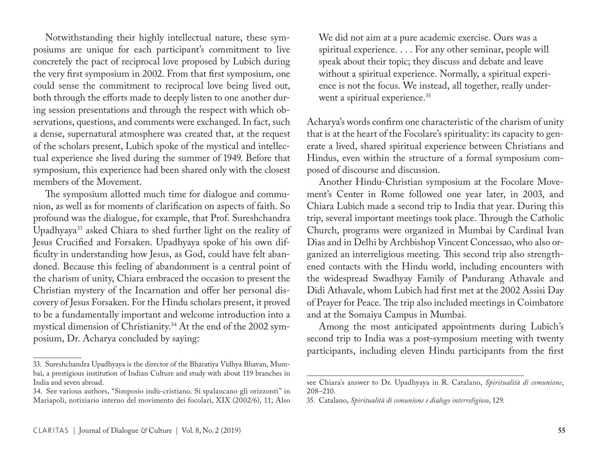Notwithstanding their highly intellectual nature, these symposiums are unique for each participant's commitment to live concretely the pact of reciprocal love proposed by Lubich during the very first symposium in 2002. From that first symposium, one could sense the commitment to reciprocal love being lived out, both through the efforts made to deeply listen to one another during session presentations and through the respect with which observations, questions, and comments were exchanged. In fact, such a dense, supernatural atmosphere was created that, at the request of the scholars present, Lubich spoke of the mystical and intellectual experience she lived during the summer of 1949. Before that symposium, this experience had been shared only with the closest members of the Movement.

The symposium allotted much time for dialogue and communion, as well as for moments of clarification on aspects of faith. So profound was the dialogue, for example, that Prof. Sureshchandra Upadhyaya<sup>33</sup> asked Chiara to shed further light on the reality of Jesus Crucified and Forsaken. Upadhyaya spoke of his own difficulty in understanding how Jesus, as God, could have felt abandoned. Because this feeling of abandonment is a central point of the charism of unity, Chiara embraced the occasion to present the Christian mystery of the Incarnation and offer her personal discovery of Jesus Forsaken. For the Hindu scholars present, it proved to be a fundamentally important and welcome introduction into a mystical dimension of Christianity.34 At the end of the 2002 symposium, Dr. Acharya concluded by saying:

We did not aim at a pure academic exercise. Ours was a spiritual experience. . . . For any other seminar, people will speak about their topic; they discuss and debate and leave without a spiritual experience. Normally, a spiritual experience is not the focus. We instead, all together, really underwent a spiritual experience.<sup>35</sup>

Acharya's words confirm one characteristic of the charism of unity that is at the heart of the Focolare's spirituality: its capacity to generate a lived, shared spiritual experience between Christians and Hindus, even within the structure of a formal symposium composed of discourse and discussion.

Another Hindu-Christian symposium at the Focolare Movement's Center in Rome followed one year later, in 2003, and Chiara Lubich made a second trip to India that year. During this trip, several important meetings took place. Through the Catholic Church, programs were organized in Mumbai by Cardinal Ivan Dias and in Delhi by Archbishop Vincent Concessao, who also organized an interreligious meeting. This second trip also strengthened contacts with the Hindu world, including encounters with the widespread Swadhyay Family of Pandurang Athavale and Didi Athavale, whom Lubich had first met at the 2002 Assisi Day of Prayer for Peace. The trip also included meetings in Coimbatore and at the Somaiya Campus in Mumbai.

Among the most anticipated appointments during Lubich's second trip to India was a post-symposium meeting with twenty participants, including eleven Hindu participants from the first

<sup>33.</sup> Sureshchandra Upadhyaya is the director of the Bharatiya Vidhya Bhavan, Mumbai, a prestigious institution of Indian Culture and study with about 119 branches in India and seven abroad.

<sup>34.</sup> See various authors, "Simposio indù-cristiano. Si spalancano gli orizzonti" in Mariapoli, notiziario interno del movimento dei focolari, XIX (2002/6), 11; Also

see Chiara's answer to Dr. Upadhyaya in R. Catalano, *Spiritualità di comunione*, 208–210.

<sup>35.</sup> Catalano, *Spiritualità di comunione e dialogo interreligioso*, 129.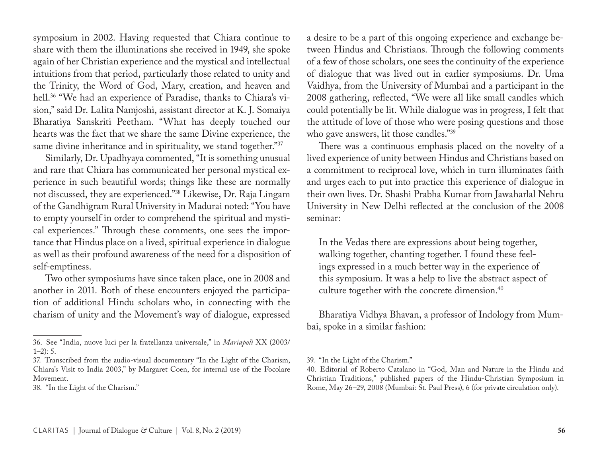symposium in 2002. Having requested that Chiara continue to share with them the illuminations she received in 1949, she spoke again of her Christian experience and the mystical and intellectual intuitions from that period, particularly those related to unity and the Trinity, the Word of God, Mary, creation, and heaven and hell.<sup>36</sup> "We had an experience of Paradise, thanks to Chiara's vision," said Dr. Lalita Namjoshi, assistant director at K. J. Somaiya Bharatiya Sanskriti Peetham. "What has deeply touched our hearts was the fact that we share the same Divine experience, the same divine inheritance and in spirituality, we stand together."37

Similarly, Dr. Upadhyaya commented, "It is something unusual and rare that Chiara has communicated her personal mystical experience in such beautiful words; things like these are normally not discussed, they are experienced."38 Likewise, Dr. Raja Lingam of the Gandhigram Rural University in Madurai noted: "You have to empty yourself in order to comprehend the spiritual and mystical experiences." Through these comments, one sees the importance that Hindus place on a lived, spiritual experience in dialogue as well as their profound awareness of the need for a disposition of self-emptiness.

Two other symposiums have since taken place, one in 2008 and another in 2011. Both of these encounters enjoyed the participation of additional Hindu scholars who, in connecting with the charism of unity and the Movement's way of dialogue, expressed a desire to be a part of this ongoing experience and exchange between Hindus and Christians. Through the following comments of a few of those scholars, one sees the continuity of the experience of dialogue that was lived out in earlier symposiums. Dr. Uma Vaidhya, from the University of Mumbai and a participant in the 2008 gathering, reflected, "We were all like small candles which could potentially be lit. While dialogue was in progress, I felt that the attitude of love of those who were posing questions and those who gave answers, lit those candles."39

There was a continuous emphasis placed on the novelty of a lived experience of unity between Hindus and Christians based on a commitment to reciprocal love, which in turn illuminates faith and urges each to put into practice this experience of dialogue in their own lives. Dr. Shashi Prabha Kumar from Jawaharlal Nehru University in New Delhi reflected at the conclusion of the 2008 seminar:

In the Vedas there are expressions about being together, walking together, chanting together. I found these feelings expressed in a much better way in the experience of this symposium. It was a help to live the abstract aspect of culture together with the concrete dimension.<sup>40</sup>

Bharatiya Vidhya Bhavan, a professor of Indology from Mumbai, spoke in a similar fashion:

<sup>36.</sup> See "India, nuove luci per la fratellanza universale," in *Mariapoli* XX (2003/  $1-2$ : 5.

<sup>37.</sup> Transcribed from the audio-visual documentary "In the Light of the Charism, Chiara's Visit to India 2003," by Margaret Coen, for internal use of the Focolare Movement.

<sup>38.</sup> "In the Light of the Charism."

<sup>39.</sup> "In the Light of the Charism."

<sup>40.</sup> Editorial of Roberto Catalano in "God, Man and Nature in the Hindu and Christian Traditions," published papers of the Hindu-Christian Symposium in Rome, May 26–29, 2008 (Mumbai: St. Paul Press), 6 (for private circulation only).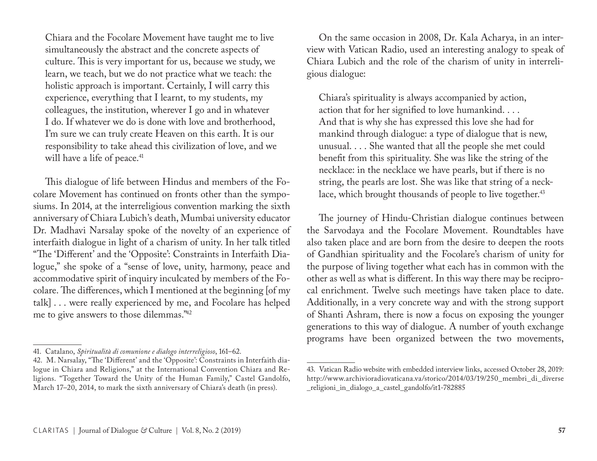Chiara and the Focolare Movement have taught me to live simultaneously the abstract and the concrete aspects of culture. This is very important for us, because we study, we learn, we teach, but we do not practice what we teach: the holistic approach is important. Certainly, I will carry this experience, everything that I learnt, to my students, my colleagues, the institution, wherever I go and in whatever I do. If whatever we do is done with love and brotherhood, I'm sure we can truly create Heaven on this earth. It is our responsibility to take ahead this civilization of love, and we will have a life of peace.<sup>41</sup>

This dialogue of life between Hindus and members of the Focolare Movement has continued on fronts other than the symposiums. In 2014, at the interreligious convention marking the sixth anniversary of Chiara Lubich's death, Mumbai university educator Dr. Madhavi Narsalay spoke of the novelty of an experience of interfaith dialogue in light of a charism of unity. In her talk titled "The 'Different' and the 'Opposite': Constraints in Interfaith Dialogue," she spoke of a "sense of love, unity, harmony, peace and accommodative spirit of inquiry inculcated by members of the Focolare. The differences, which I mentioned at the beginning [of my talk] . . . were really experienced by me, and Focolare has helped me to give answers to those dilemmas."42

On the same occasion in 2008, Dr. Kala Acharya, in an interview with Vatican Radio, used an interesting analogy to speak of Chiara Lubich and the role of the charism of unity in interreligious dialogue:

Chiara's spirituality is always accompanied by action, action that for her signified to love humankind. . . . And that is why she has expressed this love she had for mankind through dialogue: a type of dialogue that is new, unusual. . . . She wanted that all the people she met could benefit from this spirituality. She was like the string of the necklace: in the necklace we have pearls, but if there is no string, the pearls are lost. She was like that string of a necklace, which brought thousands of people to live together.<sup>43</sup>

The journey of Hindu-Christian dialogue continues between the Sarvodaya and the Focolare Movement. Roundtables have also taken place and are born from the desire to deepen the roots of Gandhian spirituality and the Focolare's charism of unity for the purpose of living together what each has in common with the other as well as what is different. In this way there may be reciprocal enrichment. Twelve such meetings have taken place to date. Additionally, in a very concrete way and with the strong support of Shanti Ashram, there is now a focus on exposing the younger generations to this way of dialogue. A number of youth exchange programs have been organized between the two movements,

<sup>41.</sup> Catalano, *Spiritualità di comunione e dialogo interreligioso*, 161–62.

<sup>42.</sup> M. Narsalay, "The 'Different' and the 'Opposite': Constraints in Interfaith dialogue in Chiara and Religions," at the International Convention Chiara and Religions. "Together Toward the Unity of the Human Family," Castel Gandolfo, March 17–20, 2014, to mark the sixth anniversary of Chiara's death (in press).

<sup>43.</sup> Vatican Radio website with embedded interview links, accessed October 28, 2019: http://www.archivioradiovaticana.va/storico/2014/03/19/250\_membri\_di\_diverse \_religioni\_in\_dialogo\_a\_castel\_gandolfo/it1-782885